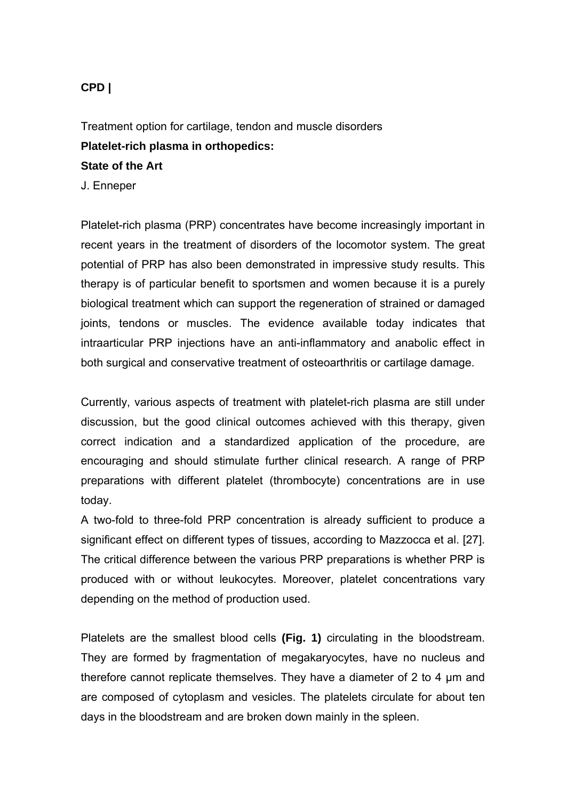# **CPD |**

Treatment option for cartilage, tendon and muscle disorders **Platelet-rich plasma in orthopedics: State of the Art** J. Enneper

Platelet-rich plasma (PRP) concentrates have become increasingly important in recent years in the treatment of disorders of the locomotor system. The great potential of PRP has also been demonstrated in impressive study results. This therapy is of particular benefit to sportsmen and women because it is a purely biological treatment which can support the regeneration of strained or damaged joints, tendons or muscles. The evidence available today indicates that intraarticular PRP injections have an anti-inflammatory and anabolic effect in both surgical and conservative treatment of osteoarthritis or cartilage damage.

Currently, various aspects of treatment with platelet-rich plasma are still under discussion, but the good clinical outcomes achieved with this therapy, given correct indication and a standardized application of the procedure, are encouraging and should stimulate further clinical research. A range of PRP preparations with different platelet (thrombocyte) concentrations are in use today.

A two-fold to three-fold PRP concentration is already sufficient to produce a significant effect on different types of tissues, according to Mazzocca et al. [27]. The critical difference between the various PRP preparations is whether PRP is produced with or without leukocytes. Moreover, platelet concentrations vary depending on the method of production used.

Platelets are the smallest blood cells **(Fig. 1)** circulating in the bloodstream. They are formed by fragmentation of megakaryocytes, have no nucleus and therefore cannot replicate themselves. They have a diameter of 2 to 4 μm and are composed of cytoplasm and vesicles. The platelets circulate for about ten days in the bloodstream and are broken down mainly in the spleen.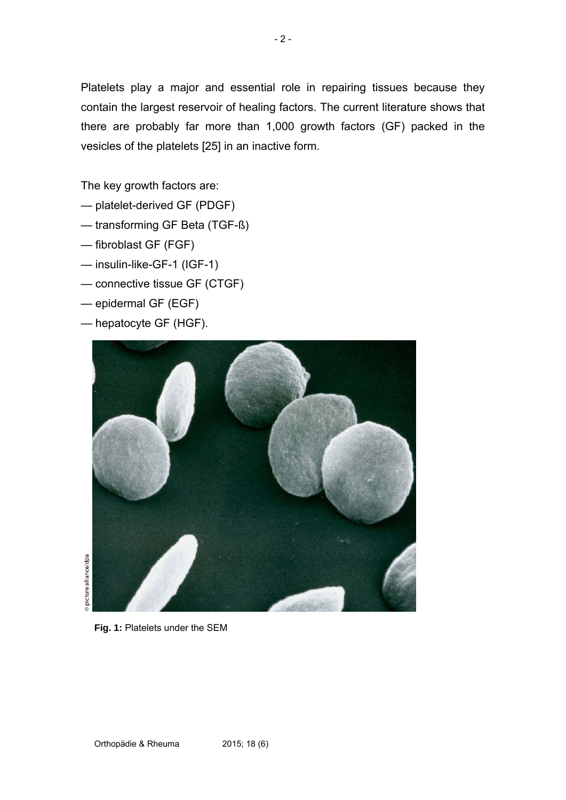Platelets play a major and essential role in repairing tissues because they contain the largest reservoir of healing factors. The current literature shows that there are probably far more than 1,000 growth factors (GF) packed in the vesicles of the platelets [25] in an inactive form.

The key growth factors are:

- platelet-derived GF (PDGF)
- transforming GF Beta (TGF-ß)
- fibroblast GF (FGF)
- insulin-like-GF-1 (IGF-1)
- connective tissue GF (CTGF)
- epidermal GF (EGF)
- hepatocyte GF (HGF).



picture alliance/dpa

**Fig. 1:** Platelets under the SEM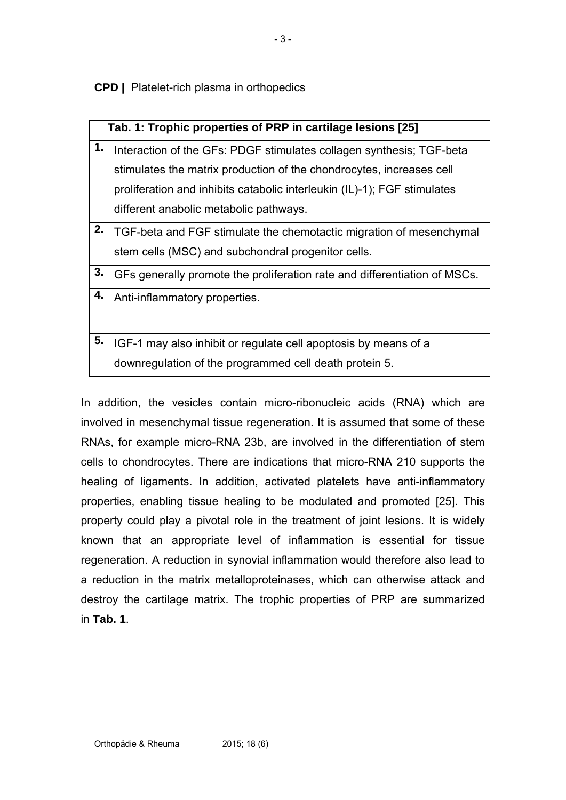**CPD |** Platelet-rich plasma in orthopedics

| Tab. 1: Trophic properties of PRP in cartilage lesions [25] |                                                                           |
|-------------------------------------------------------------|---------------------------------------------------------------------------|
| 1.                                                          | Interaction of the GFs: PDGF stimulates collagen synthesis; TGF-beta      |
|                                                             | stimulates the matrix production of the chondrocytes, increases cell      |
|                                                             | proliferation and inhibits catabolic interleukin (IL)-1); FGF stimulates  |
|                                                             | different anabolic metabolic pathways.                                    |
| 2.                                                          | TGF-beta and FGF stimulate the chemotactic migration of mesenchymal       |
|                                                             | stem cells (MSC) and subchondral progenitor cells.                        |
| 3.                                                          | GFs generally promote the proliferation rate and differentiation of MSCs. |
| 4.                                                          | Anti-inflammatory properties.                                             |
|                                                             |                                                                           |
| 5.                                                          | IGF-1 may also inhibit or regulate cell apoptosis by means of a           |
|                                                             | downregulation of the programmed cell death protein 5.                    |

In addition, the vesicles contain micro-ribonucleic acids (RNA) which are involved in mesenchymal tissue regeneration. It is assumed that some of these RNAs, for example micro-RNA 23b, are involved in the differentiation of stem cells to chondrocytes. There are indications that micro-RNA 210 supports the healing of ligaments. In addition, activated platelets have anti-inflammatory properties, enabling tissue healing to be modulated and promoted [25]. This property could play a pivotal role in the treatment of joint lesions. It is widely known that an appropriate level of inflammation is essential for tissue regeneration. A reduction in synovial inflammation would therefore also lead to a reduction in the matrix metalloproteinases, which can otherwise attack and destroy the cartilage matrix. The trophic properties of PRP are summarized in **Tab. 1**.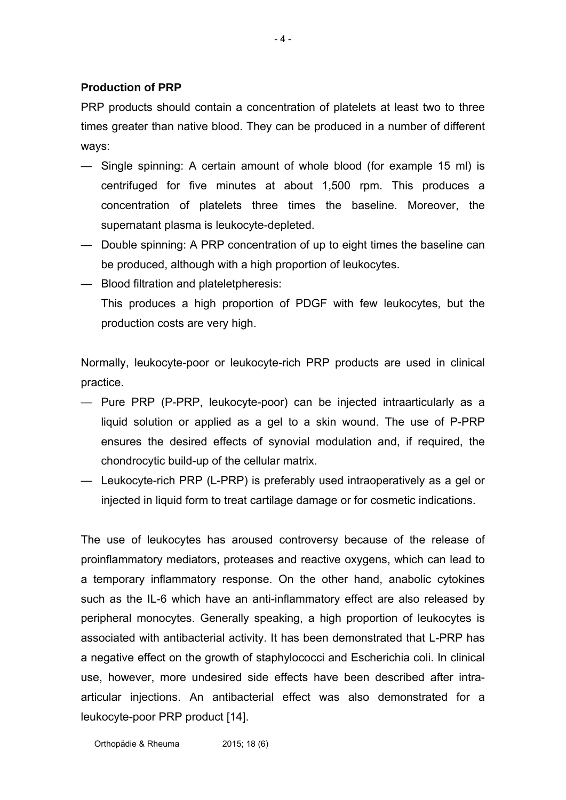# **Production of PRP**

PRP products should contain a concentration of platelets at least two to three times greater than native blood. They can be produced in a number of different ways:

- 4 -

- Single spinning: A certain amount of whole blood (for example 15 ml) is centrifuged for five minutes at about 1,500 rpm. This produces a concentration of platelets three times the baseline. Moreover, the supernatant plasma is leukocyte-depleted.
- Double spinning: A PRP concentration of up to eight times the baseline can be produced, although with a high proportion of leukocytes.
- Blood filtration and plateletpheresis: This produces a high proportion of PDGF with few leukocytes, but the production costs are very high.

Normally, leukocyte-poor or leukocyte-rich PRP products are used in clinical practice.

- Pure PRP (P-PRP, leukocyte-poor) can be injected intraarticularly as a liquid solution or applied as a gel to a skin wound. The use of P-PRP ensures the desired effects of synovial modulation and, if required, the chondrocytic build-up of the cellular matrix.
- Leukocyte-rich PRP (L-PRP) is preferably used intraoperatively as a gel or injected in liquid form to treat cartilage damage or for cosmetic indications.

The use of leukocytes has aroused controversy because of the release of proinflammatory mediators, proteases and reactive oxygens, which can lead to a temporary inflammatory response. On the other hand, anabolic cytokines such as the IL-6 which have an anti-inflammatory effect are also released by peripheral monocytes. Generally speaking, a high proportion of leukocytes is associated with antibacterial activity. It has been demonstrated that L-PRP has a negative effect on the growth of staphylococci and Escherichia coli. In clinical use, however, more undesired side effects have been described after intraarticular injections. An antibacterial effect was also demonstrated for a leukocyte-poor PRP product [14].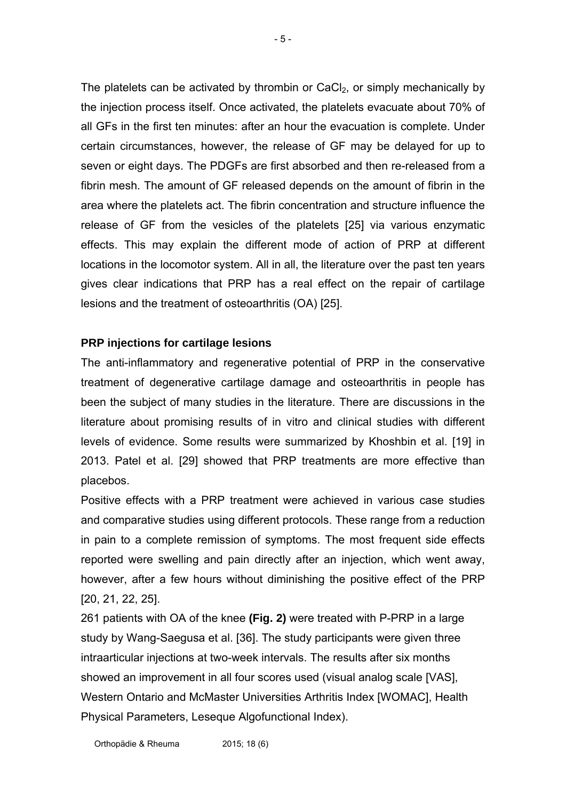The platelets can be activated by thrombin or  $CaCl<sub>2</sub>$ , or simply mechanically by the injection process itself. Once activated, the platelets evacuate about 70% of all GFs in the first ten minutes: after an hour the evacuation is complete. Under certain circumstances, however, the release of GF may be delayed for up to seven or eight days. The PDGFs are first absorbed and then re-released from a fibrin mesh. The amount of GF released depends on the amount of fibrin in the area where the platelets act. The fibrin concentration and structure influence the release of GF from the vesicles of the platelets [25] via various enzymatic effects. This may explain the different mode of action of PRP at different locations in the locomotor system. All in all, the literature over the past ten years gives clear indications that PRP has a real effect on the repair of cartilage lesions and the treatment of osteoarthritis (OA) [25].

# **PRP injections for cartilage lesions**

The anti-inflammatory and regenerative potential of PRP in the conservative treatment of degenerative cartilage damage and osteoarthritis in people has been the subject of many studies in the literature. There are discussions in the literature about promising results of in vitro and clinical studies with different levels of evidence. Some results were summarized by Khoshbin et al. [19] in 2013. Patel et al. [29] showed that PRP treatments are more effective than placebos.

Positive effects with a PRP treatment were achieved in various case studies and comparative studies using different protocols. These range from a reduction in pain to a complete remission of symptoms. The most frequent side effects reported were swelling and pain directly after an injection, which went away, however, after a few hours without diminishing the positive effect of the PRP [20, 21, 22, 25].

261 patients with OA of the knee **(Fig. 2)** were treated with P-PRP in a large study by Wang-Saegusa et al. [36]. The study participants were given three intraarticular injections at two-week intervals. The results after six months showed an improvement in all four scores used (visual analog scale [VAS], Western Ontario and McMaster Universities Arthritis Index [WOMAC], Health Physical Parameters, Leseque Algofunctional Index).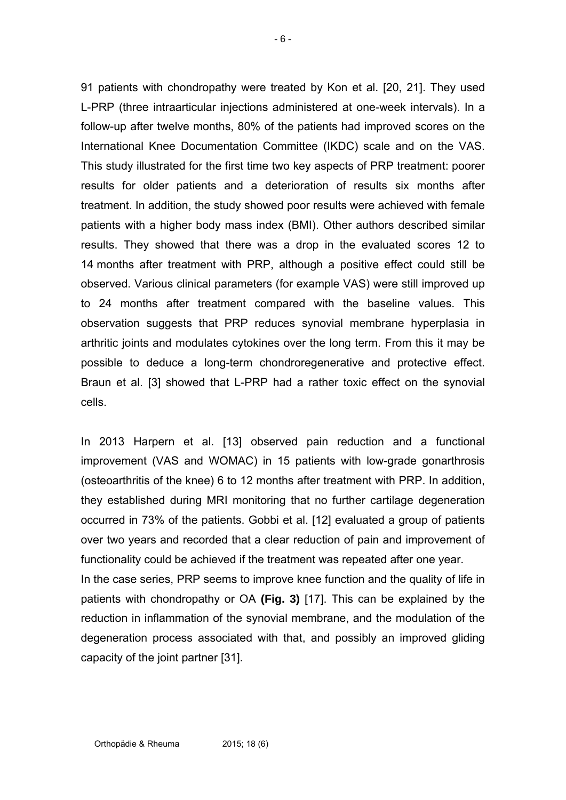91 patients with chondropathy were treated by Kon et al. [20, 21]. They used L-PRP (three intraarticular injections administered at one-week intervals). In a follow-up after twelve months, 80% of the patients had improved scores on the International Knee Documentation Committee (IKDC) scale and on the VAS. This study illustrated for the first time two key aspects of PRP treatment: poorer results for older patients and a deterioration of results six months after treatment. In addition, the study showed poor results were achieved with female patients with a higher body mass index (BMI). Other authors described similar results. They showed that there was a drop in the evaluated scores 12 to 14 months after treatment with PRP, although a positive effect could still be observed. Various clinical parameters (for example VAS) were still improved up to 24 months after treatment compared with the baseline values. This observation suggests that PRP reduces synovial membrane hyperplasia in arthritic joints and modulates cytokines over the long term. From this it may be possible to deduce a long-term chondroregenerative and protective effect. Braun et al. [3] showed that L-PRP had a rather toxic effect on the synovial cells.

In 2013 Harpern et al. [13] observed pain reduction and a functional improvement (VAS and WOMAC) in 15 patients with low-grade gonarthrosis (osteoarthritis of the knee) 6 to 12 months after treatment with PRP. In addition, they established during MRI monitoring that no further cartilage degeneration occurred in 73% of the patients. Gobbi et al. [12] evaluated a group of patients over two years and recorded that a clear reduction of pain and improvement of functionality could be achieved if the treatment was repeated after one year. In the case series, PRP seems to improve knee function and the quality of life in patients with chondropathy or OA **(Fig. 3)** [17]. This can be explained by the reduction in inflammation of the synovial membrane, and the modulation of the degeneration process associated with that, and possibly an improved gliding capacity of the joint partner [31].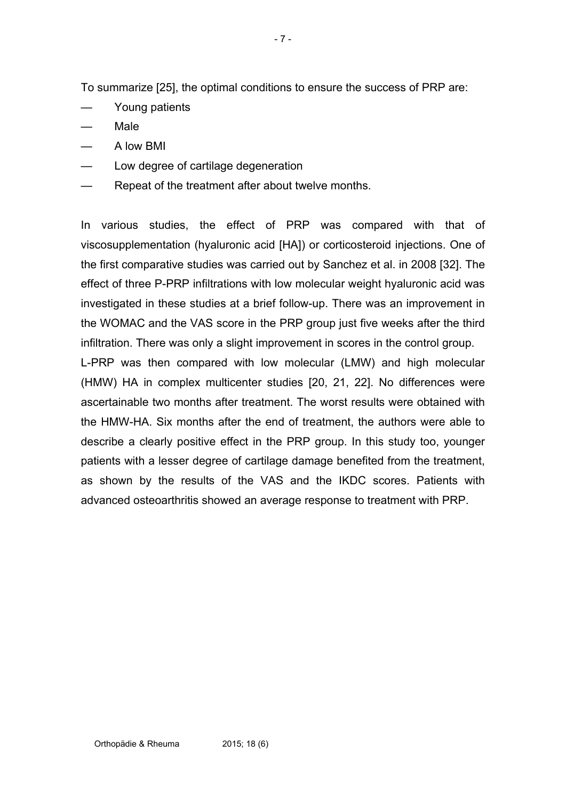To summarize [25], the optimal conditions to ensure the success of PRP are:

- Young patients
- Male
- A low BMI
- Low degree of cartilage degeneration
- Repeat of the treatment after about twelve months.

In various studies, the effect of PRP was compared with that of viscosupplementation (hyaluronic acid [HA]) or corticosteroid injections. One of the first comparative studies was carried out by Sanchez et al. in 2008 [32]. The effect of three P-PRP infiltrations with low molecular weight hyaluronic acid was investigated in these studies at a brief follow-up. There was an improvement in the WOMAC and the VAS score in the PRP group just five weeks after the third infiltration. There was only a slight improvement in scores in the control group.

L-PRP was then compared with low molecular (LMW) and high molecular (HMW) HA in complex multicenter studies [20, 21, 22]. No differences were ascertainable two months after treatment. The worst results were obtained with the HMW-HA. Six months after the end of treatment, the authors were able to describe a clearly positive effect in the PRP group. In this study too, younger patients with a lesser degree of cartilage damage benefited from the treatment, as shown by the results of the VAS and the IKDC scores. Patients with advanced osteoarthritis showed an average response to treatment with PRP.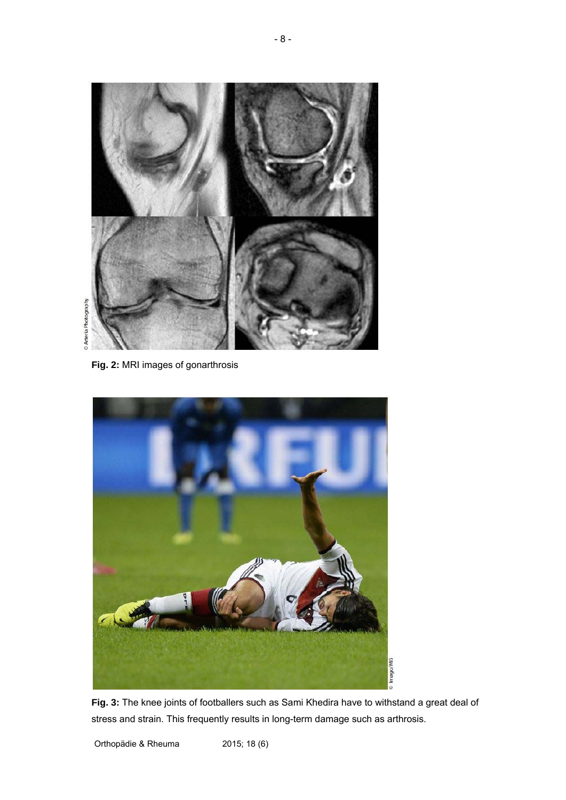

**Fig. 2:** MRI images of gonarthrosis



**Fig. 3:** The knee joints of footballers such as Sami Khedira have to withstand a great deal of stress and strain. This frequently results in long-term damage such as arthrosis.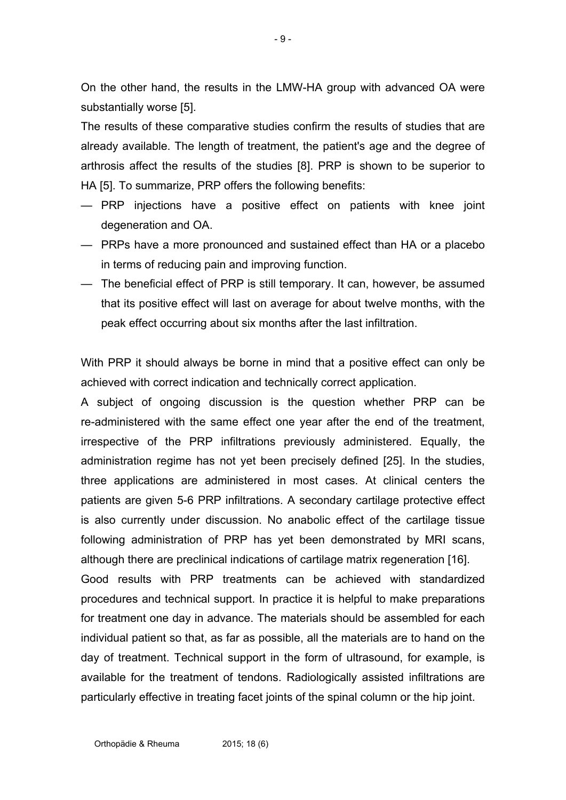On the other hand, the results in the LMW-HA group with advanced OA were substantially worse [5].

The results of these comparative studies confirm the results of studies that are already available. The length of treatment, the patient's age and the degree of arthrosis affect the results of the studies [8]. PRP is shown to be superior to HA [5]. To summarize, PRP offers the following benefits:

- PRP injections have a positive effect on patients with knee joint degeneration and OA.
- PRPs have a more pronounced and sustained effect than HA or a placebo in terms of reducing pain and improving function.
- The beneficial effect of PRP is still temporary. It can, however, be assumed that its positive effect will last on average for about twelve months, with the peak effect occurring about six months after the last infiltration.

With PRP it should always be borne in mind that a positive effect can only be achieved with correct indication and technically correct application.

A subject of ongoing discussion is the question whether PRP can be re-administered with the same effect one year after the end of the treatment, irrespective of the PRP infiltrations previously administered. Equally, the administration regime has not yet been precisely defined [25]. In the studies, three applications are administered in most cases. At clinical centers the patients are given 5-6 PRP infiltrations. A secondary cartilage protective effect is also currently under discussion. No anabolic effect of the cartilage tissue following administration of PRP has yet been demonstrated by MRI scans, although there are preclinical indications of cartilage matrix regeneration [16]. Good results with PRP treatments can be achieved with standardized procedures and technical support. In practice it is helpful to make preparations for treatment one day in advance. The materials should be assembled for each individual patient so that, as far as possible, all the materials are to hand on the

day of treatment. Technical support in the form of ultrasound, for example, is available for the treatment of tendons. Radiologically assisted infiltrations are particularly effective in treating facet joints of the spinal column or the hip joint.

Orthopädie & Rheuma 2015; 18 (6)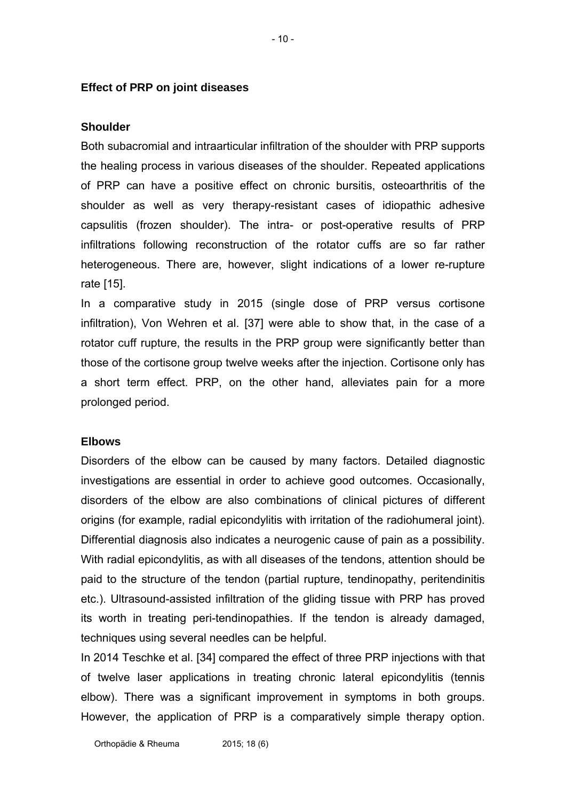#### **Effect of PRP on joint diseases**

#### **Shoulder**

Both subacromial and intraarticular infiltration of the shoulder with PRP supports the healing process in various diseases of the shoulder. Repeated applications of PRP can have a positive effect on chronic bursitis, osteoarthritis of the shoulder as well as very therapy-resistant cases of idiopathic adhesive capsulitis (frozen shoulder). The intra- or post-operative results of PRP infiltrations following reconstruction of the rotator cuffs are so far rather heterogeneous. There are, however, slight indications of a lower re-rupture rate [15].

In a comparative study in 2015 (single dose of PRP versus cortisone infiltration), Von Wehren et al. [37] were able to show that, in the case of a rotator cuff rupture, the results in the PRP group were significantly better than those of the cortisone group twelve weeks after the injection. Cortisone only has a short term effect. PRP, on the other hand, alleviates pain for a more prolonged period.

#### **Elbows**

Disorders of the elbow can be caused by many factors. Detailed diagnostic investigations are essential in order to achieve good outcomes. Occasionally, disorders of the elbow are also combinations of clinical pictures of different origins (for example, radial epicondylitis with irritation of the radiohumeral joint). Differential diagnosis also indicates a neurogenic cause of pain as a possibility. With radial epicondylitis, as with all diseases of the tendons, attention should be paid to the structure of the tendon (partial rupture, tendinopathy, peritendinitis etc.). Ultrasound-assisted infiltration of the gliding tissue with PRP has proved its worth in treating peri-tendinopathies. If the tendon is already damaged, techniques using several needles can be helpful.

In 2014 Teschke et al. [34] compared the effect of three PRP injections with that of twelve laser applications in treating chronic lateral epicondylitis (tennis elbow). There was a significant improvement in symptoms in both groups. However, the application of PRP is a comparatively simple therapy option.

- 10 -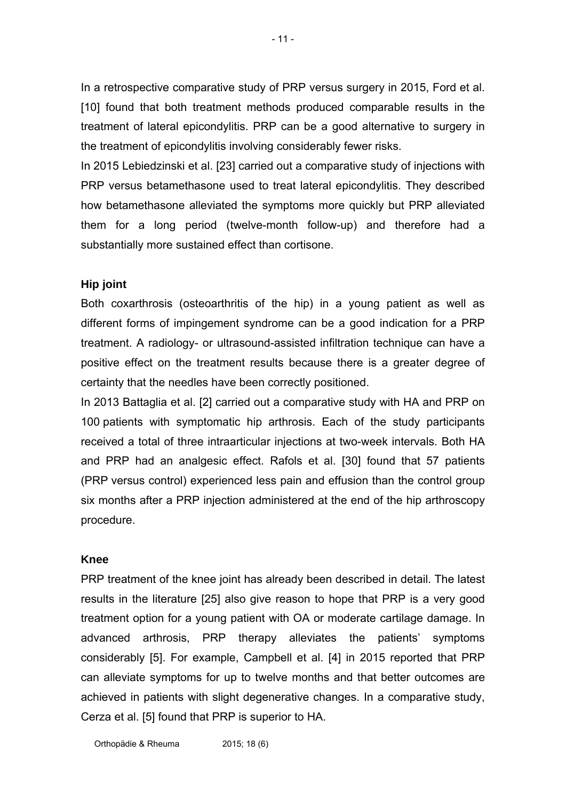In a retrospective comparative study of PRP versus surgery in 2015, Ford et al. [10] found that both treatment methods produced comparable results in the treatment of lateral epicondylitis. PRP can be a good alternative to surgery in the treatment of epicondylitis involving considerably fewer risks.

In 2015 Lebiedzinski et al. [23] carried out a comparative study of injections with PRP versus betamethasone used to treat lateral epicondylitis. They described how betamethasone alleviated the symptoms more quickly but PRP alleviated them for a long period (twelve-month follow-up) and therefore had a substantially more sustained effect than cortisone.

## **Hip joint**

Both coxarthrosis (osteoarthritis of the hip) in a young patient as well as different forms of impingement syndrome can be a good indication for a PRP treatment. A radiology- or ultrasound-assisted infiltration technique can have a positive effect on the treatment results because there is a greater degree of certainty that the needles have been correctly positioned.

In 2013 Battaglia et al. [2] carried out a comparative study with HA and PRP on 100 patients with symptomatic hip arthrosis. Each of the study participants received a total of three intraarticular injections at two-week intervals. Both HA and PRP had an analgesic effect. Rafols et al. [30] found that 57 patients (PRP versus control) experienced less pain and effusion than the control group six months after a PRP injection administered at the end of the hip arthroscopy procedure.

## **Knee**

PRP treatment of the knee joint has already been described in detail. The latest results in the literature [25] also give reason to hope that PRP is a very good treatment option for a young patient with OA or moderate cartilage damage. In advanced arthrosis, PRP therapy alleviates the patients' symptoms considerably [5]. For example, Campbell et al. [4] in 2015 reported that PRP can alleviate symptoms for up to twelve months and that better outcomes are achieved in patients with slight degenerative changes. In a comparative study, Cerza et al. [5] found that PRP is superior to HA.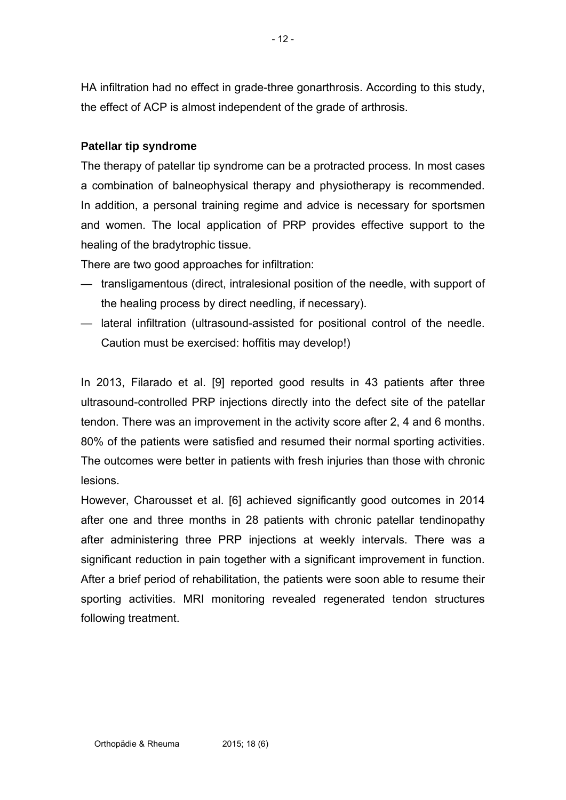HA infiltration had no effect in grade-three gonarthrosis. According to this study, the effect of ACP is almost independent of the grade of arthrosis.

# **Patellar tip syndrome**

The therapy of patellar tip syndrome can be a protracted process. In most cases a combination of balneophysical therapy and physiotherapy is recommended. In addition, a personal training regime and advice is necessary for sportsmen and women. The local application of PRP provides effective support to the healing of the bradytrophic tissue.

There are two good approaches for infiltration:

- transligamentous (direct, intralesional position of the needle, with support of the healing process by direct needling, if necessary).
- lateral infiltration (ultrasound-assisted for positional control of the needle. Caution must be exercised: hoffitis may develop!)

In 2013, Filarado et al. [9] reported good results in 43 patients after three ultrasound-controlled PRP injections directly into the defect site of the patellar tendon. There was an improvement in the activity score after 2, 4 and 6 months. 80% of the patients were satisfied and resumed their normal sporting activities. The outcomes were better in patients with fresh injuries than those with chronic lesions.

However, Charousset et al. [6] achieved significantly good outcomes in 2014 after one and three months in 28 patients with chronic patellar tendinopathy after administering three PRP injections at weekly intervals. There was a significant reduction in pain together with a significant improvement in function. After a brief period of rehabilitation, the patients were soon able to resume their sporting activities. MRI monitoring revealed regenerated tendon structures following treatment.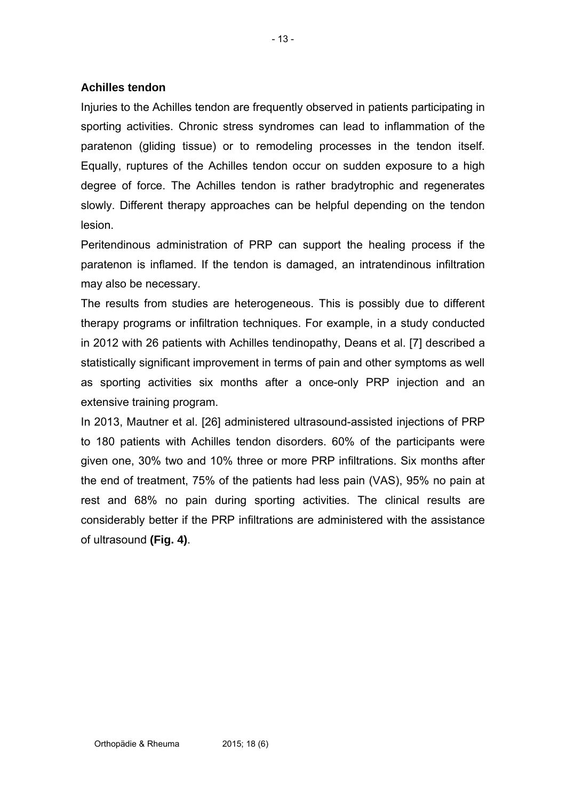## **Achilles tendon**

Injuries to the Achilles tendon are frequently observed in patients participating in sporting activities. Chronic stress syndromes can lead to inflammation of the paratenon (gliding tissue) or to remodeling processes in the tendon itself. Equally, ruptures of the Achilles tendon occur on sudden exposure to a high degree of force. The Achilles tendon is rather bradytrophic and regenerates slowly. Different therapy approaches can be helpful depending on the tendon lesion.

Peritendinous administration of PRP can support the healing process if the paratenon is inflamed. If the tendon is damaged, an intratendinous infiltration may also be necessary.

The results from studies are heterogeneous. This is possibly due to different therapy programs or infiltration techniques. For example, in a study conducted in 2012 with 26 patients with Achilles tendinopathy, Deans et al. [7] described a statistically significant improvement in terms of pain and other symptoms as well as sporting activities six months after a once-only PRP injection and an extensive training program.

In 2013, Mautner et al. [26] administered ultrasound-assisted injections of PRP to 180 patients with Achilles tendon disorders. 60% of the participants were given one, 30% two and 10% three or more PRP infiltrations. Six months after the end of treatment, 75% of the patients had less pain (VAS), 95% no pain at rest and 68% no pain during sporting activities. The clinical results are considerably better if the PRP infiltrations are administered with the assistance of ultrasound **(Fig. 4)**.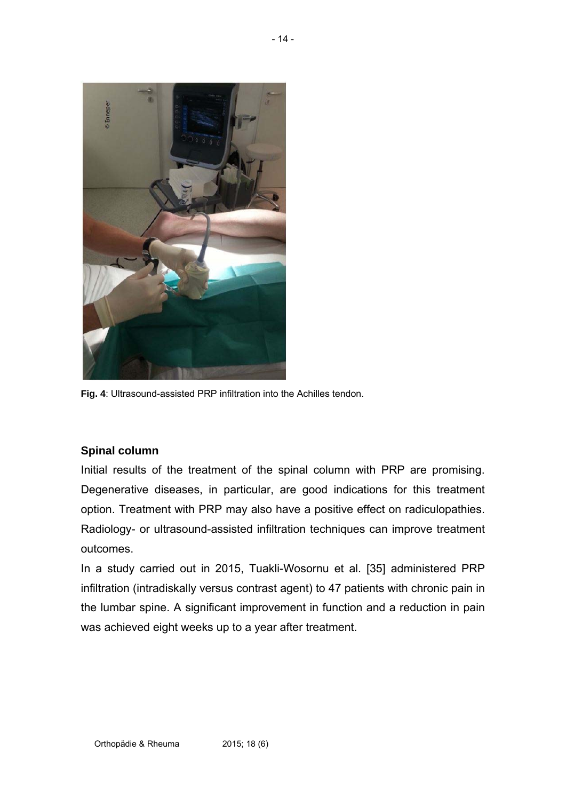

**Fig. 4**: Ultrasound-assisted PRP infiltration into the Achilles tendon.

## **Spinal column**

Initial results of the treatment of the spinal column with PRP are promising. Degenerative diseases, in particular, are good indications for this treatment option. Treatment with PRP may also have a positive effect on radiculopathies. Radiology- or ultrasound-assisted infiltration techniques can improve treatment outcomes.

In a study carried out in 2015, Tuakli-Wosornu et al. [35] administered PRP infiltration (intradiskally versus contrast agent) to 47 patients with chronic pain in the lumbar spine. A significant improvement in function and a reduction in pain was achieved eight weeks up to a year after treatment.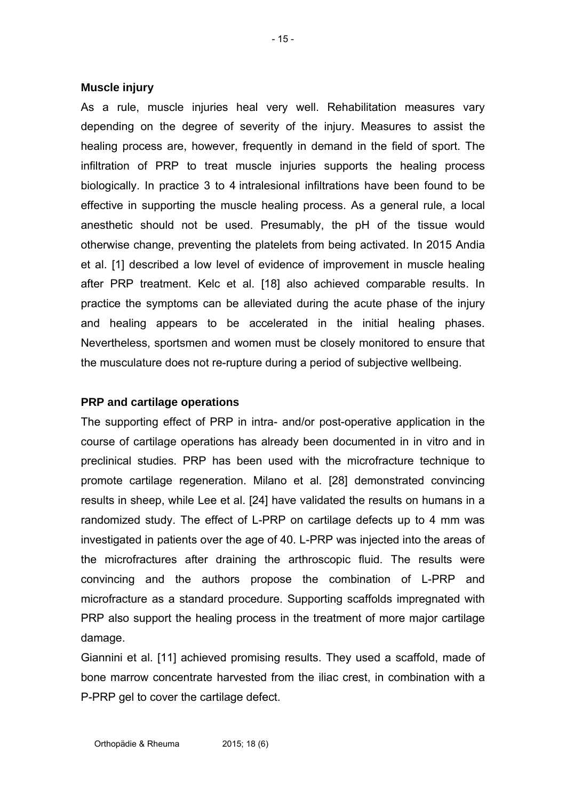### **Muscle injury**

As a rule, muscle injuries heal very well. Rehabilitation measures vary depending on the degree of severity of the injury. Measures to assist the healing process are, however, frequently in demand in the field of sport. The infiltration of PRP to treat muscle injuries supports the healing process biologically. In practice 3 to 4 intralesional infiltrations have been found to be effective in supporting the muscle healing process. As a general rule, a local anesthetic should not be used. Presumably, the pH of the tissue would otherwise change, preventing the platelets from being activated. In 2015 Andia et al. [1] described a low level of evidence of improvement in muscle healing after PRP treatment. Kelc et al. [18] also achieved comparable results. In practice the symptoms can be alleviated during the acute phase of the injury and healing appears to be accelerated in the initial healing phases. Nevertheless, sportsmen and women must be closely monitored to ensure that the musculature does not re-rupture during a period of subjective wellbeing.

## **PRP and cartilage operations**

The supporting effect of PRP in intra- and/or post-operative application in the course of cartilage operations has already been documented in in vitro and in preclinical studies. PRP has been used with the microfracture technique to promote cartilage regeneration. Milano et al. [28] demonstrated convincing results in sheep, while Lee et al. [24] have validated the results on humans in a randomized study. The effect of L-PRP on cartilage defects up to 4 mm was investigated in patients over the age of 40. L-PRP was injected into the areas of the microfractures after draining the arthroscopic fluid. The results were convincing and the authors propose the combination of L-PRP and microfracture as a standard procedure. Supporting scaffolds impregnated with PRP also support the healing process in the treatment of more major cartilage damage.

Giannini et al. [11] achieved promising results. They used a scaffold, made of bone marrow concentrate harvested from the iliac crest, in combination with a P-PRP gel to cover the cartilage defect.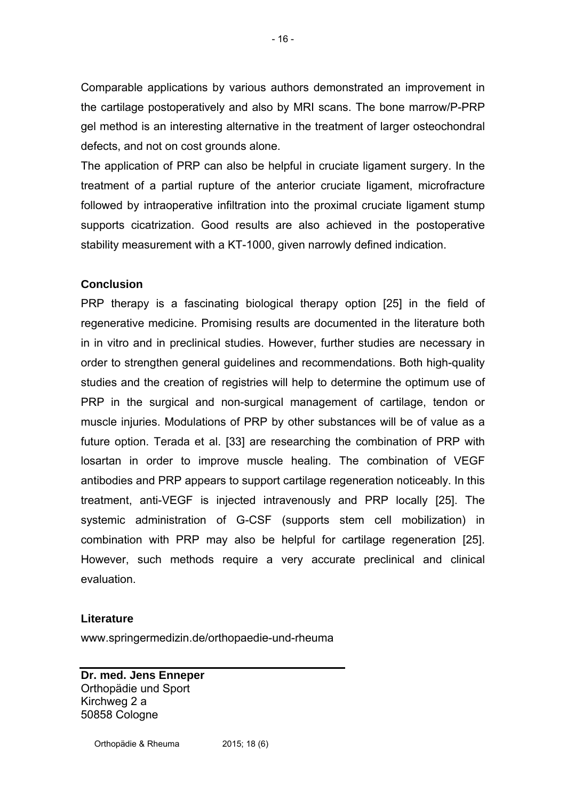Comparable applications by various authors demonstrated an improvement in the cartilage postoperatively and also by MRI scans. The bone marrow/P-PRP gel method is an interesting alternative in the treatment of larger osteochondral defects, and not on cost grounds alone.

The application of PRP can also be helpful in cruciate ligament surgery. In the treatment of a partial rupture of the anterior cruciate ligament, microfracture followed by intraoperative infiltration into the proximal cruciate ligament stump supports cicatrization. Good results are also achieved in the postoperative stability measurement with a KT-1000, given narrowly defined indication.

# **Conclusion**

PRP therapy is a fascinating biological therapy option [25] in the field of regenerative medicine. Promising results are documented in the literature both in in vitro and in preclinical studies. However, further studies are necessary in order to strengthen general guidelines and recommendations. Both high-quality studies and the creation of registries will help to determine the optimum use of PRP in the surgical and non-surgical management of cartilage, tendon or muscle injuries. Modulations of PRP by other substances will be of value as a future option. Terada et al. [33] are researching the combination of PRP with losartan in order to improve muscle healing. The combination of VEGF antibodies and PRP appears to support cartilage regeneration noticeably. In this treatment, anti-VEGF is injected intravenously and PRP locally [25]. The systemic administration of G-CSF (supports stem cell mobilization) in combination with PRP may also be helpful for cartilage regeneration [25]. However, such methods require a very accurate preclinical and clinical evaluation.

## **Literature**

www.springermedizin.de/orthopaedie-und-rheuma

**Dr. med. Jens Enneper**  Orthopädie und Sport Kirchweg 2 a 50858 Cologne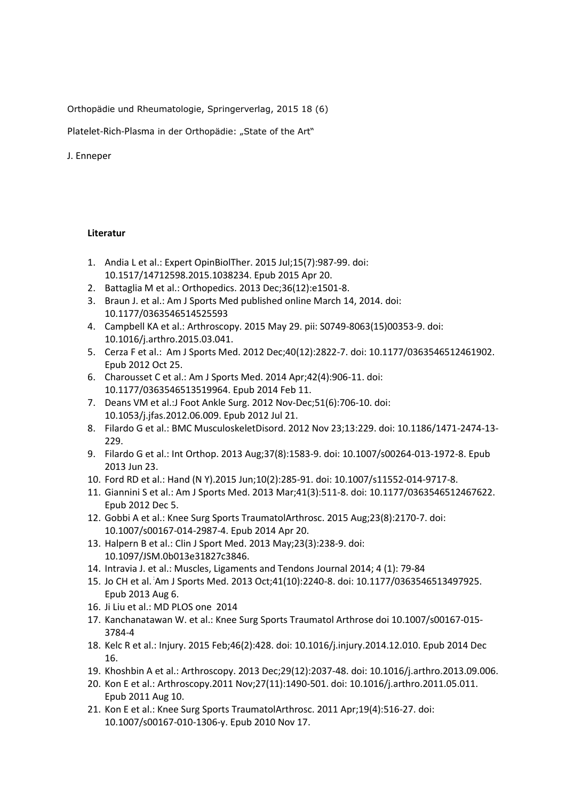Orthopädie und Rheumatologie, Springerverlag, 2015 18 (6)

Platelet-Rich-Plasma in der Orthopädie: "State of the Art"

#### J. Enneper

#### **Literatur**

- 1. [Andia L e](http://www.ncbi.nlm.nih.gov/pubmed/?term=Andia%20I%5BAuthor%5D&cauthor=true&cauthor_uid=25891080)t al.: [Expert OpinBiolTher.](http://www.ncbi.nlm.nih.gov/pubmed/25891080) 2015 Jul;15(7):987-99. doi: 10.1517/14712598.2015.1038234. Epub 2015 Apr 20.
- 2. [Battaglia M](http://www.ncbi.nlm.nih.gov/pubmed/?term=Battaglia%20M%5BAuthor%5D&cauthor=true&cauthor_uid=24579221) et al.[: Orthopedics.](http://www.ncbi.nlm.nih.gov/pubmed/?term=Battaglia+2013+prp) 2013 Dec;36(12):e1501-8.
- 3. Braun J. et al.: Am J Sports Med published online March 14, 2014. doi: 10.1177/0363546514525593
- 4. [Campbell KA](http://www.ncbi.nlm.nih.gov/pubmed/?term=Campbell%20KA%5BAuthor%5D&cauthor=true&cauthor_uid=26033459) et al.: [Arthroscopy.](http://www.ncbi.nlm.nih.gov/pubmed/26033459) 2015 May 29. pii: S0749-8063(15)00353-9. doi: 10.1016/j.arthro.2015.03.041.
- 5. [Cerza F](http://www.ncbi.nlm.nih.gov/pubmed/?term=Cerza%20F%5BAuthor%5D&cauthor=true&cauthor_uid=23104611) et al.: [Am J Sports Med.](http://www.ncbi.nlm.nih.gov/pubmed/?term=cerza+2012+prp) 2012 Dec;40(12):2822-7. doi: 10.1177/0363546512461902. Epub 2012 Oct 25.
- 6. [Charousset C](http://www.ncbi.nlm.nih.gov/pubmed/?term=Charousset%20C%5BAuthor%5D&cauthor=true&cauthor_uid=24519184) et al.[: Am J Sports Med.](http://www.ncbi.nlm.nih.gov/pubmed/24519184) 2014 Apr;42(4):906-11. doi: 10.1177/0363546513519964. Epub 2014 Feb 11.
- 7. [Deans VM](http://www.ncbi.nlm.nih.gov/pubmed/?term=Deans%20VM%5BAuthor%5D&cauthor=true&cauthor_uid=22824319) et al.[:J Foot Ankle Surg.](http://www.ncbi.nlm.nih.gov/pubmed/?term=deans+The+Journal+of+Foot+and+Ankle+Surgery%2C+2012) 2012 Nov-Dec;51(6):706-10. doi: 10.1053/j.jfas.2012.06.009. Epub 2012 Jul 21.
- 8. [Filardo G](http://www.ncbi.nlm.nih.gov/pubmed/?term=Filardo%20G%5BAuthor%5D&cauthor=true&cauthor_uid=23176112) et al.[: BMC MusculoskeletDisord.](http://www.ncbi.nlm.nih.gov/pubmed/?term=kon+prp+vs+hyaluronic) 2012 Nov 23;13:229. doi: 10.1186/1471-2474-13- 229.
- 9. [Filardo G](http://www.ncbi.nlm.nih.gov/pubmed/?term=Filardo%20G%5BAuthor%5D&cauthor=true&cauthor_uid=23793514) et al.[: Int Orthop.](http://www.ncbi.nlm.nih.gov/pubmed/?term=Platelet-rich+plasma+for+the+treatment+of+patellar+tendinopathy%3A+clinical+and+imaging+findings+at+medium-term+follow-up) 2013 Aug;37(8):1583-9. doi: 10.1007/s00264-013-1972-8. Epub 2013 Jun 23.
- 10. [Ford RD](http://www.ncbi.nlm.nih.gov/pubmed/?term=Ford%20RD%5BAuthor%5D&cauthor=true&cauthor_uid=26034445) et al.: [Hand \(N Y\).2](http://www.ncbi.nlm.nih.gov/pubmed/26034445)015 Jun;10(2):285-91. doi: 10.1007/s11552-014-9717-8.
- 11. [Giannini S](http://www.ncbi.nlm.nih.gov/pubmed/?term=Giannini%20S%5BAuthor%5D&cauthor=true&cauthor_uid=23221772) et al.: [Am J Sports Med.](http://www.ncbi.nlm.nih.gov/pubmed/23221772) 2013 Mar;41(3):511-8. doi: 10.1177/0363546512467622. Epub 2012 Dec 5.
- 12. [Gobbi A](http://www.ncbi.nlm.nih.gov/pubmed/?term=Gobbi%20A%5BAuthor%5D&cauthor=true&cauthor_uid=24748286) et al.: [Knee Surg Sports TraumatolArthrosc.](http://www.ncbi.nlm.nih.gov/pubmed/24748286) 2015 Aug;23(8):2170-7. doi: 10.1007/s00167-014-2987-4. Epub 2014 Apr 20.
- 13. [Halpern B](http://www.ncbi.nlm.nih.gov/pubmed/?term=Halpern%20B%5BAuthor%5D&cauthor=true&cauthor_uid=23238250) et al.: [Clin J Sport Med.](http://www.ncbi.nlm.nih.gov/pubmed/23238250) 2013 May;23(3):238-9. doi: 10.1097/JSM.0b013e31827c3846.
- 14. Intravia J. et al.: Muscles, Ligaments and Tendons Journal 2014; 4 (1): 79-84
- 15. [Jo CH](http://www.ncbi.nlm.nih.gov/pubmed/?term=Jo%20CH%5BAuthor%5D&cauthor=true&cauthor_uid=23921338) et al. : [Am J Sports Med.](http://www.ncbi.nlm.nih.gov/pubmed/?term=Hyunchul+Jo+prp) 2013 Oct;41(10):2240-8. doi: 10.1177/0363546513497925. Epub 2013 Aug 6.
- 16. Ji Liu et al.: MD [PLOS one](http://www.plosone.org/) 2014
- 17. Kanchanatawan W. et al.: Knee Surg Sports Traumatol Arthrose doi 10.1007/s00167-015- 3784-4
- 18. [Kelc R](http://www.ncbi.nlm.nih.gov/pubmed/?term=Kelc%20R%5BAuthor%5D&cauthor=true&cauthor_uid=25560090) et al.: [Injury.](http://www.ncbi.nlm.nih.gov/pubmed/25560090) 2015 Feb;46(2):428. doi: 10.1016/j.injury.2014.12.010. Epub 2014 Dec 16.
- 19. [Khoshbin A](http://www.ncbi.nlm.nih.gov/pubmed/?term=Khoshbin%20A%5BAuthor%5D&cauthor=true&cauthor_uid=24286802) et al.[: Arthroscopy.](http://www.ncbi.nlm.nih.gov/pubmed/?term=khoshbin+prp) 2013 Dec;29(12):2037-48. doi: 10.1016/j.arthro.2013.09.006.
- 20. [Kon E](http://www.ncbi.nlm.nih.gov/pubmed/?term=Kon%20E%5BAuthor%5D&cauthor=true&cauthor_uid=21831567) et al.[: Arthroscopy.2](http://www.ncbi.nlm.nih.gov/pubmed/?term=kon+e%2C+mandelbaum)011 Nov;27(11):1490-501. doi: 10.1016/j.arthro.2011.05.011. Epub 2011 Aug 10.
- 21. [Kon E](http://www.ncbi.nlm.nih.gov/pubmed/?term=Kon%20E%5BAuthor%5D&cauthor=true&cauthor_uid=21082164) et al.[: Knee Surg Sports TraumatolArthrosc.](http://www.ncbi.nlm.nih.gov/pubmed/21082164) 2011 Apr;19(4):516-27. doi: 10.1007/s00167-010-1306-y. Epub 2010 Nov 17.